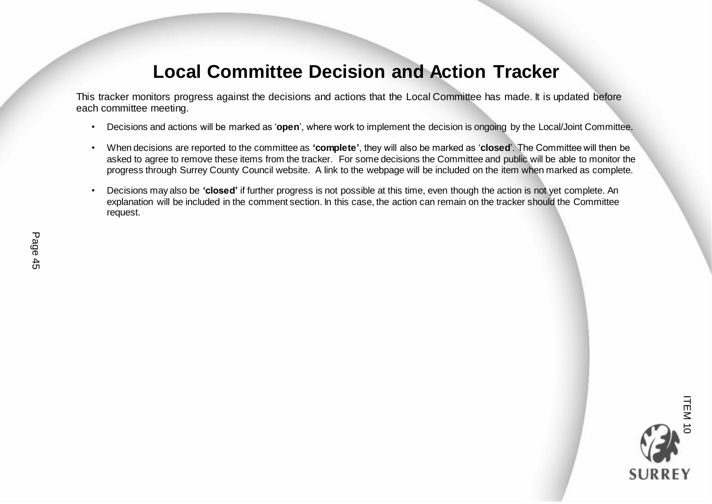## **Local Committee Decision and Action Tracker**

This tracker monitors progress against the decisions and actions that the Local Committee has made. It is updated before each committee meeting.

- Decisions and actions will be marked as '**open**', where work to implement the decision is ongoing by the Local/Joint Committee.
- When decisions are reported to the committee as **'complete'**, they will also be marked as '**closed**'. The Committee will then be asked to agree to remove these items from the tracker. For some decisions the Committee and public will be able to monitor the progress through Surrey County Council website. A link to the webpage will be included on the item when marked as complete.
- Decisions may also be **'closed'** if further progress is not possible at this time, even though the action is not yet complete. An explanation will be included in the comment section. In this case, the action can remain on the tracker should the Committee request.